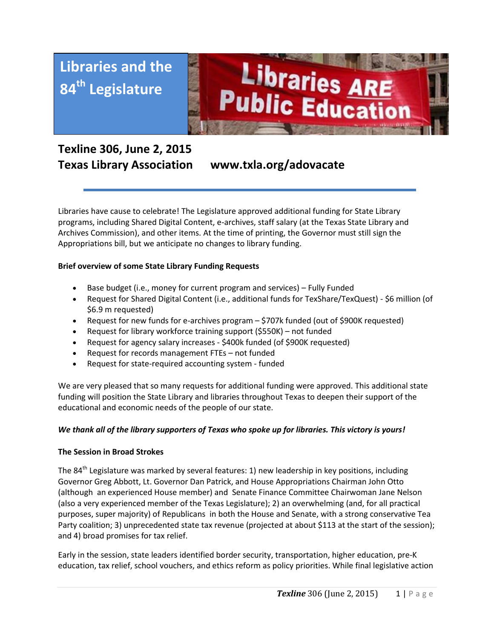



# **Texline 306, June 2, 2015 Texas Library Association www.txla.org/adovacate**

Libraries have cause to celebrate! The Legislature approved additional funding for State Library programs, including Shared Digital Content, e-archives, staff salary (at the Texas State Library and Archives Commission), and other items. At the time of printing, the Governor must still sign the Appropriations bill, but we anticipate no changes to library funding.

## **Brief overview of some State Library Funding Requests**

- Base budget (i.e., money for current program and services) Fully Funded
- Request for Shared Digital Content (i.e., additional funds for TexShare/TexQuest) \$6 million (of \$6.9 m requested)
- Request for new funds for e-archives program \$707k funded (out of \$900K requested)
- Request for library workforce training support (\$550K) not funded
- Request for agency salary increases \$400k funded (of \$900K requested)
- Request for records management FTEs not funded
- Request for state-required accounting system funded

We are very pleased that so many requests for additional funding were approved. This additional state funding will position the State Library and libraries throughout Texas to deepen their support of the educational and economic needs of the people of our state.

#### *We thank all of the library supporters of Texas who spoke up for libraries. This victory is yours!*

#### **The Session in Broad Strokes**

The 84<sup>th</sup> Legislature was marked by several features: 1) new leadership in key positions, including Governor Greg Abbott, Lt. Governor Dan Patrick, and House Appropriations Chairman John Otto (although an experienced House member) and Senate Finance Committee Chairwoman Jane Nelson (also a very experienced member of the Texas Legislature); 2) an overwhelming (and, for all practical purposes, super majority) of Republicans in both the House and Senate, with a strong conservative Tea Party coalition; 3) unprecedented state tax revenue (projected at about \$113 at the start of the session); and 4) broad promises for tax relief.

Early in the session, state leaders identified border security, transportation, higher education, pre-K education, tax relief, school vouchers, and ethics reform as policy priorities. While final legislative action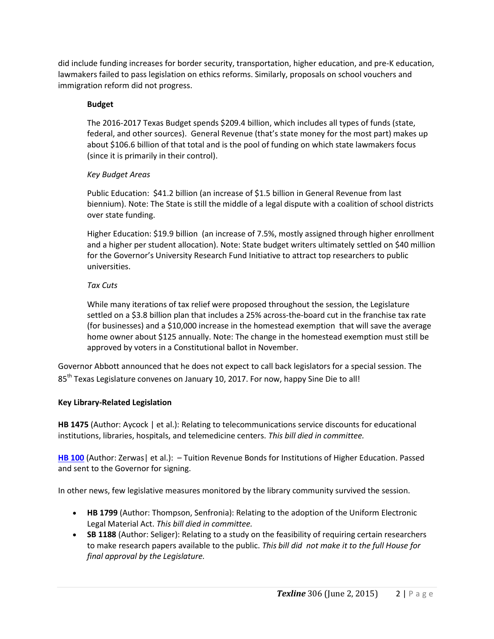did include funding increases for border security, transportation, higher education, and pre-K education, lawmakers failed to pass legislation on ethics reforms. Similarly, proposals on school vouchers and immigration reform did not progress.

#### **Budget**

The 2016-2017 Texas Budget spends \$209.4 billion, which includes all types of funds (state, federal, and other sources). General Revenue (that's state money for the most part) makes up about \$106.6 billion of that total and is the pool of funding on which state lawmakers focus (since it is primarily in their control).

## *Key Budget Areas*

Public Education: \$41.2 billion (an increase of \$1.5 billion in General Revenue from last biennium). Note: The State is still the middle of a legal dispute with a coalition of school districts over state funding.

Higher Education: \$19.9 billion (an increase of 7.5%, mostly assigned through higher enrollment and a higher per student allocation). Note: State budget writers ultimately settled on \$40 million for the Governor's University Research Fund Initiative to attract top researchers to public universities.

## *Tax Cuts*

While many iterations of tax relief were proposed throughout the session, the Legislature settled on a \$3.8 billion plan that includes a 25% across-the-board cut in the franchise tax rate (for businesses) and a \$10,000 increase in the homestead exemption that will save the average home owner about \$125 annually. Note: The change in the homestead exemption must still be approved by voters in a Constitutional ballot in November.

Governor Abbott announced that he does not expect to call back legislators for a special session. The 85<sup>th</sup> Texas Legislature convenes on January 10, 2017. For now, happy Sine Die to all!

## **Key Library-Related Legislation**

**HB 1475** (Author: Aycock | et al.): Relating to telecommunications service discounts for educational institutions, libraries, hospitals, and telemedicine centers. *This bill died in committee.*

**[HB 100](http://www.capitol.state.tx.us/tlodocs/84R/billtext/pdf/HB00100F.pdf#navpanes=0)** (Author: Zerwas) et al.): - Tuition Revenue Bonds for Institutions of Higher Education. Passed and sent to the Governor for signing.

In other news, few legislative measures monitored by the library community survived the session.

- **HB 1799** (Author: Thompson, Senfronia): Relating to the adoption of the Uniform Electronic Legal Material Act. *This bill died in committee.*
- **SB 1188** (Author: Seliger): Relating to a study on the feasibility of requiring certain researchers to make research papers available to the public. *This bill did not make it to the full House for final approval by the Legislature.*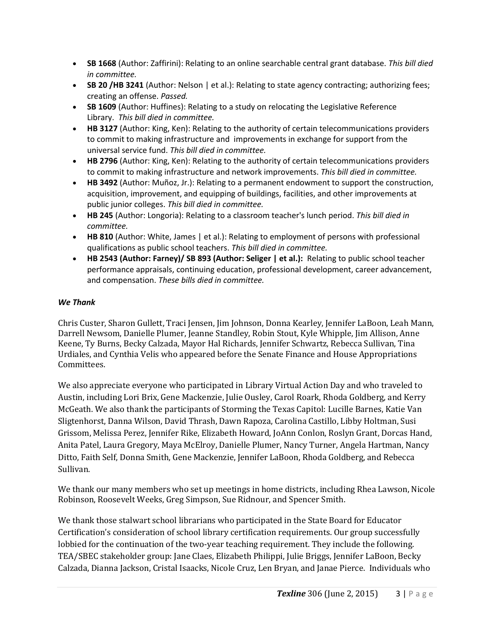- **SB 1668** (Author: Zaffirini): Relating to an online searchable central grant database. *This bill died in committee.*
- **SB 20 /HB 3241** (Author: Nelson | et al.): Relating to state agency contracting; authorizing fees; creating an offense. *Passed.*
- **SB 1609** (Author: Huffines): Relating to a study on relocating the Legislative Reference Library. *This bill died in committee.*
- **HB 3127** (Author: King, Ken): Relating to the authority of certain telecommunications providers to commit to making infrastructure and improvements in exchange for support from the universal service fund. *This bill died in committee.*
- **HB 2796** (Author: King, Ken): Relating to the authority of certain telecommunications providers to commit to making infrastructure and network improvements. *This bill died in committee.*
- **HB 3492** (Author: Muñoz, Jr.): Relating to a permanent endowment to support the construction, acquisition, improvement, and equipping of buildings, facilities, and other improvements at public junior colleges. *This bill died in committee.*
- **HB 245** (Author: Longoria): Relating to a classroom teacher's lunch period. *This bill died in committee.*
- **HB 810** (Author: White, James | et al.): Relating to employment of persons with professional qualifications as public school teachers. *This bill died in committee.*
- **HB 2543 (Author: Farney)/ SB 893 (Author: Seliger | et al.):** Relating to public school teacher performance appraisals, continuing education, professional development, career advancement, and compensation. *These bills died in committee.*

## *We Thank*

Chris Custer, Sharon Gullett, Traci Jensen, Jim Johnson, Donna Kearley, Jennifer LaBoon, Leah Mann, Darrell Newsom, Danielle Plumer, Jeanne Standley, Robin Stout, Kyle Whipple, Jim Allison, Anne Keene, Ty Burns, Becky Calzada, Mayor Hal Richards, Jennifer Schwartz, Rebecca Sullivan, Tina Urdiales, and Cynthia Velis who appeared before the Senate Finance and House Appropriations Committees.

We also appreciate everyone who participated in Library Virtual Action Day and who traveled to Austin, including Lori Brix, Gene Mackenzie, Julie Ousley, Carol Roark, Rhoda Goldberg, and Kerry McGeath. We also thank the participants of Storming the Texas Capitol: Lucille Barnes, Katie Van Sligtenhorst, Danna Wilson, David Thrash, Dawn Rapoza, Carolina Castillo, Libby Holtman, Susi Grissom, Melissa Perez, Jennifer Rike, Elizabeth Howard, JoAnn Conlon, Roslyn Grant, Dorcas Hand, Anita Patel, Laura Gregory, Maya McElroy, Danielle Plumer, Nancy Turner, Angela Hartman, Nancy Ditto, Faith Self, Donna Smith, Gene Mackenzie, Jennifer LaBoon, Rhoda Goldberg, and Rebecca Sullivan.

We thank our many members who set up meetings in home districts, including Rhea Lawson, Nicole Robinson, Roosevelt Weeks, Greg Simpson, Sue Ridnour, and Spencer Smith.

We thank those stalwart school librarians who participated in the State Board for Educator Certification's consideration of school library certification requirements. Our group successfully lobbied for the continuation of the two-year teaching requirement. They include the following. TEA/SBEC stakeholder group: Jane Claes, Elizabeth Philippi, Julie Briggs, Jennifer LaBoon, Becky Calzada, Dianna Jackson, Cristal Isaacks, Nicole Cruz, Len Bryan, and Janae Pierce. Individuals who